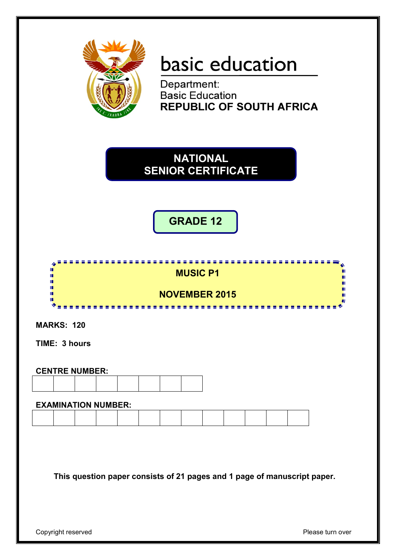

# basic education

Department:<br>Basic Education **REPUBLIC OF SOUTH AFRICA** 

**NATIONAL SENIOR CERTIFICATE**

**GRADE 12**



**MARKS: 120**

**TIME: 3 hours**

| <b>CENTRE NUMBER:</b> |  |  |  |  |  |  |  |
|-----------------------|--|--|--|--|--|--|--|
|                       |  |  |  |  |  |  |  |

#### **EXAMINATION NUMBER:**

**This question paper consists of 21 pages and 1 page of manuscript paper.**

Copyright reserved **Please** turn over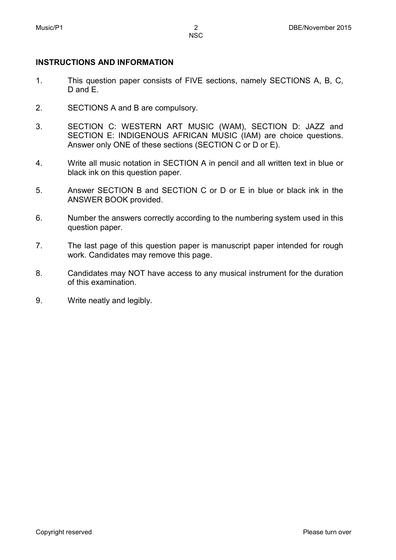## **INSTRUCTIONS AND INFORMATION**

- 1. This question paper consists of FIVE sections, namely SECTIONS A, B, C, D and E.
- 2. SECTIONS A and B are compulsory.
- 3. SECTION C: WESTERN ART MUSIC (WAM), SECTION D: JAZZ and SECTION E: INDIGENOUS AFRICAN MUSIC (IAM) are choice questions. Answer only ONE of these sections (SECTION C or D or E).
- 4. Write all music notation in SECTION A in pencil and all written text in blue or black ink on this question paper.
- 5. Answer SECTION B and SECTION C or D or E in blue or black ink in the ANSWER BOOK provided.
- 6. Number the answers correctly according to the numbering system used in this question paper.
- 7. The last page of this question paper is manuscript paper intended for rough work. Candidates may remove this page.
- 8. Candidates may NOT have access to any musical instrument for the duration of this examination.
- 9. Write neatly and legibly.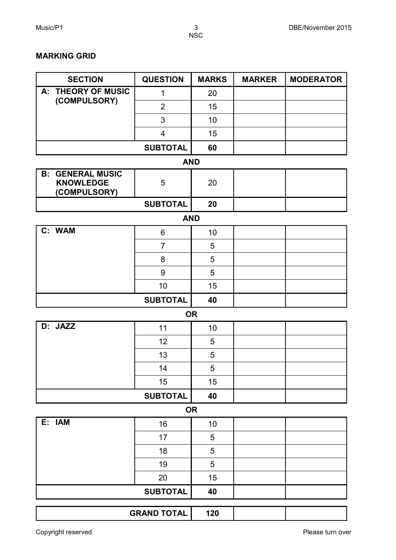### **MARKING GRID**

| <b>SECTION</b>                                                        | <b>QUESTION</b>    | <b>MARKS</b> | <b>MARKER</b> | <b>MODERATOR</b> |  |  |  |  |
|-----------------------------------------------------------------------|--------------------|--------------|---------------|------------------|--|--|--|--|
| A: THEORY OF MUSIC                                                    | $\mathbf 1$        | 20           |               |                  |  |  |  |  |
| (COMPULSORY)                                                          | $\overline{2}$     | 15           |               |                  |  |  |  |  |
|                                                                       | 3                  | 10           |               |                  |  |  |  |  |
|                                                                       | 4                  | 15           |               |                  |  |  |  |  |
|                                                                       | <b>SUBTOTAL</b>    | 60           |               |                  |  |  |  |  |
| <b>AND</b>                                                            |                    |              |               |                  |  |  |  |  |
| <b>GENERAL MUSIC</b><br><b>B:</b><br><b>KNOWLEDGE</b><br>(COMPULSORY) | 5                  | 20           |               |                  |  |  |  |  |
|                                                                       | <b>SUBTOTAL</b>    | 20           |               |                  |  |  |  |  |
|                                                                       | <b>AND</b>         |              |               |                  |  |  |  |  |
| C: WAM                                                                | 6                  | 10           |               |                  |  |  |  |  |
|                                                                       | $\overline{7}$     | 5            |               |                  |  |  |  |  |
|                                                                       | 8                  | 5            |               |                  |  |  |  |  |
|                                                                       | 9                  | 5            |               |                  |  |  |  |  |
|                                                                       | 10                 | 15           |               |                  |  |  |  |  |
|                                                                       | <b>SUBTOTAL</b>    | 40           |               |                  |  |  |  |  |
|                                                                       | <b>OR</b>          |              |               |                  |  |  |  |  |
| D: JAZZ                                                               | 11                 | 10           |               |                  |  |  |  |  |
|                                                                       | 12                 | 5            |               |                  |  |  |  |  |
|                                                                       | 13                 | 5            |               |                  |  |  |  |  |
|                                                                       | 14                 | 5            |               |                  |  |  |  |  |
|                                                                       | 15                 | 15           |               |                  |  |  |  |  |
|                                                                       | <b>SUBTOTAL</b>    | 40           |               |                  |  |  |  |  |
| <b>OR</b>                                                             |                    |              |               |                  |  |  |  |  |
| E: IAM                                                                | 16                 | 10           |               |                  |  |  |  |  |
|                                                                       | 17                 | 5            |               |                  |  |  |  |  |
|                                                                       | 18                 | 5            |               |                  |  |  |  |  |
|                                                                       | 19                 | $\sqrt{5}$   |               |                  |  |  |  |  |
|                                                                       | 20                 | 15           |               |                  |  |  |  |  |
|                                                                       | <b>SUBTOTAL</b>    | 40           |               |                  |  |  |  |  |
|                                                                       | <b>GRAND TOTAL</b> | 120          |               |                  |  |  |  |  |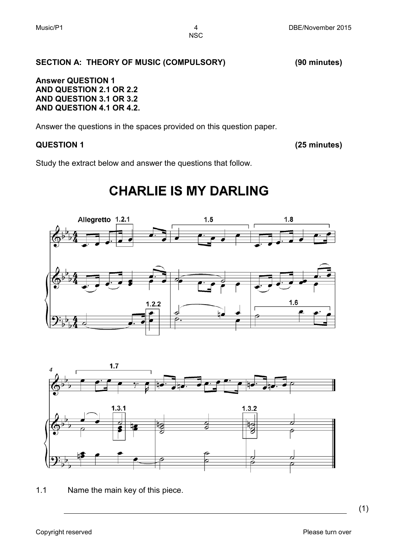#### **SECTION A: THEORY OF MUSIC (COMPULSORY) (90 minutes)**

#### **Answer QUESTION 1 AND QUESTION 2.1 OR 2.2 AND QUESTION 3.1 OR 3.2 AND QUESTION 4.1 OR 4.2.**

Answer the questions in the spaces provided on this question paper.

### **QUESTION 1 (25 minutes)**

Study the extract below and answer the questions that follow.

## **CHARLIE IS MY DARLING**





1.1 Name the main key of this piece.

(1)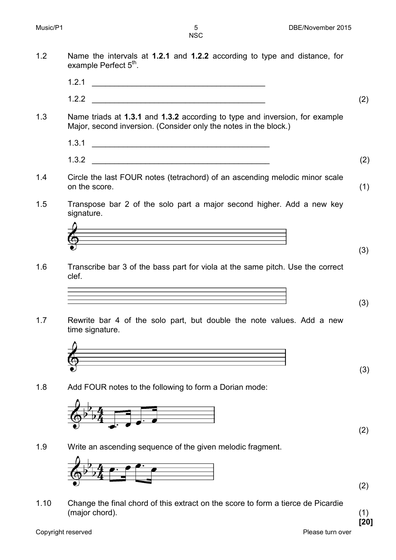- 1.2 Name the intervals at **1.2.1** and **1.2.2** according to type and distance, for example Perfect  $5<sup>th</sup>$ .
	- $1.2.1$   $\qquad \qquad$
	- $1.2.2$  (2)
- 1.3 Name triads at **1.3.1** and **1.3.2** according to type and inversion, for example Major, second inversion. (Consider only the notes in the block.)
	- 1.3.1 \_\_\_\_\_\_\_\_\_\_\_\_\_\_\_\_\_\_\_\_\_\_\_\_\_\_\_\_\_\_\_\_\_\_\_\_\_\_\_\_
	- $1.3.2$  (2)
- 1.4 Circle the last FOUR notes (tetrachord) of an ascending melodic minor scale on the score. (1)
- 1.5 Transpose bar 2 of the solo part a major second higher. Add a new key signature.



1.6 Transcribe bar 3 of the bass part for viola at the same pitch. Use the correct clef.

$$
\overline{\phantom{a}}\phantom{a} \overline{\phantom{a}}\phantom{a} \overline{\phantom{a}}\phantom{a} \overline{\phantom{a}}\phantom{a} \overline{\phantom{a}}\phantom{a} \overline{\phantom{a}}\phantom{a} \overline{\phantom{a}}\phantom{a} \overline{\phantom{a}}\phantom{a} \overline{\phantom{a}}\phantom{a} \overline{\phantom{a}}\phantom{a} \overline{\phantom{a}}\phantom{a} \overline{\phantom{a}}\phantom{a} \overline{\phantom{a}}\phantom{a} \overline{\phantom{a}}\phantom{a} \overline{\phantom{a}}\phantom{a} \overline{\phantom{a}}\phantom{a} \overline{\phantom{a}}\phantom{a} \overline{\phantom{a}}\phantom{a} \overline{\phantom{a}}\phantom{a} \overline{\phantom{a}}\phantom{a} \overline{\phantom{a}}\phantom{a} \overline{\phantom{a}}\phantom{a} \overline{\phantom{a}}\phantom{a} \overline{\phantom{a}}\phantom{a} \overline{\phantom{a}}\phantom{a} \overline{\phantom{a}}\phantom{a} \overline{\phantom{a}}\phantom{a} \overline{\phantom{a}}\phantom{a} \overline{\phantom{a}}\phantom{a} \overline{\phantom{a}}\phantom{a} \overline{\phantom{a}}\phantom{a} \overline{\phantom{a}}\phantom{a} \overline{\phantom{a}}\phantom{a} \overline{\phantom{a}}\phantom{a} \overline{\phantom{a}}\phantom{a} \overline{\phantom{a}}\phantom{a} \overline{\phantom{a}}\phantom{a} \overline{\phantom{a}}\phantom{a} \overline{\phantom{a}}\phantom{a} \overline{\phantom{a}}\phantom{a} \overline{\phantom{a}}\phantom{a} \overline{\phantom{a}}\phantom{a} \overline{\phantom{a}}\phantom{a} \overline{\phantom{a}}\phantom{a} \overline{\phantom{a}}\phantom{a} \overline{\phantom{a}}\phantom{a} \overline{\phantom{a}}\phantom{a} \overline{\phantom{a}}\phantom{a} \overline{\phantom{a}}\phantom{a} \overline{\phantom{a}}\phantom{a} \overline{\phantom{a}}\
$$

1.7 Rewrite bar 4 of the solo part, but double the note values. Add a new time signature.



1.8 Add FOUR notes to the following to form a Dorian mode:



(2)

(3)

(3)

(3)

1.9 Write an ascending sequence of the given melodic fragment.



1.10 Change the final chord of this extract on the score to form a tierce de Picardie (major chord). (1)

**[20]**

(2)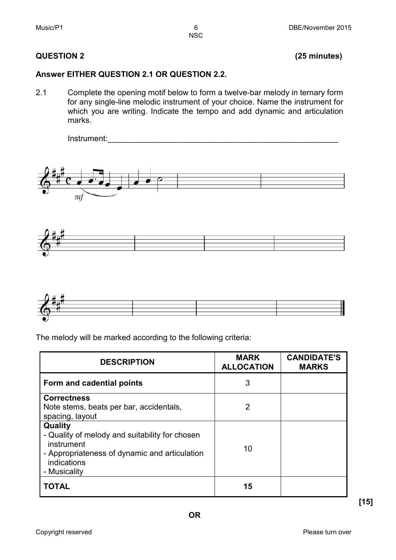#### **QUESTION 2 (25 minutes)**

#### **Answer EITHER QUESTION 2.1 OR QUESTION 2.2.**

2.1 Complete the opening motif below to form a twelve-bar melody in ternary form for any single-line melodic instrument of your choice. Name the instrument for which you are writing. Indicate the tempo and add dynamic and articulation marks.







The melody will be marked according to the following criteria:

| <b>DESCRIPTION</b>                                                                                                                                      | <b>MARK</b><br><b>ALLOCATION</b> | <b>CANDIDATE'S</b><br><b>MARKS</b> |
|---------------------------------------------------------------------------------------------------------------------------------------------------------|----------------------------------|------------------------------------|
| Form and cadential points                                                                                                                               | 3                                |                                    |
| <b>Correctness</b><br>Note stems, beats per bar, accidentals,<br>spacing, layout                                                                        | 2                                |                                    |
| Quality<br>- Quality of melody and suitability for chosen<br>instrument<br>- Appropriateness of dynamic and articulation<br>indications<br>- Musicality | 10                               |                                    |
| <b>TOTAL</b>                                                                                                                                            | 15                               |                                    |

**[15]**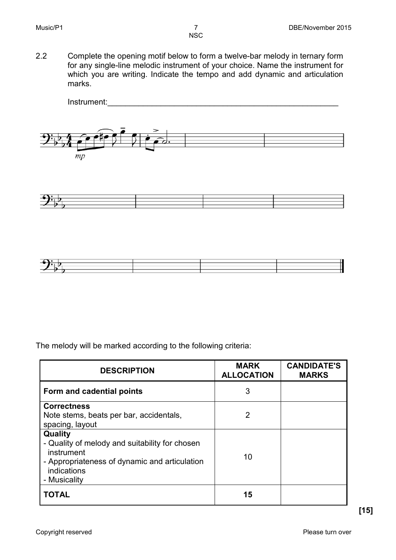2.2 Complete the opening motif below to form a twelve-bar melody in ternary form for any single-line melodic instrument of your choice. Name the instrument for which you are writing. Indicate the tempo and add dynamic and articulation marks.





The melody will be marked according to the following criteria:

| <b>DESCRIPTION</b>                                                                                                                                      | <b>MARK</b><br><b>ALLOCATION</b> | <b>CANDIDATE'S</b><br><b>MARKS</b> |
|---------------------------------------------------------------------------------------------------------------------------------------------------------|----------------------------------|------------------------------------|
| Form and cadential points                                                                                                                               | 3                                |                                    |
| <b>Correctness</b><br>Note stems, beats per bar, accidentals,<br>spacing, layout                                                                        | 2                                |                                    |
| Quality<br>- Quality of melody and suitability for chosen<br>instrument<br>- Appropriateness of dynamic and articulation<br>indications<br>- Musicality | 10                               |                                    |
| <b>TOTAL</b>                                                                                                                                            | 15                               |                                    |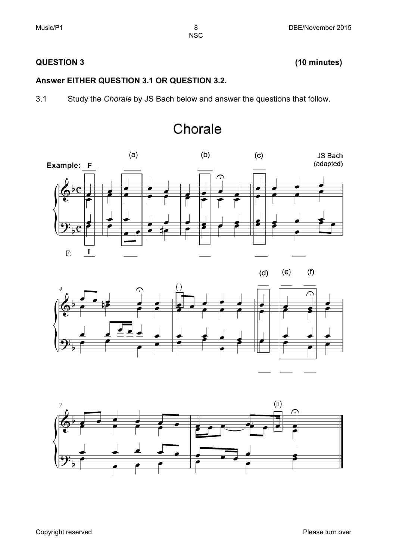### **QUESTION 3 (10 minutes)**

#### **Answer EITHER QUESTION 3.1 OR QUESTION 3.2.**

3.1 Study the *Chorale* by JS Bach below and answer the questions that follow.







## Chorale

**NSC**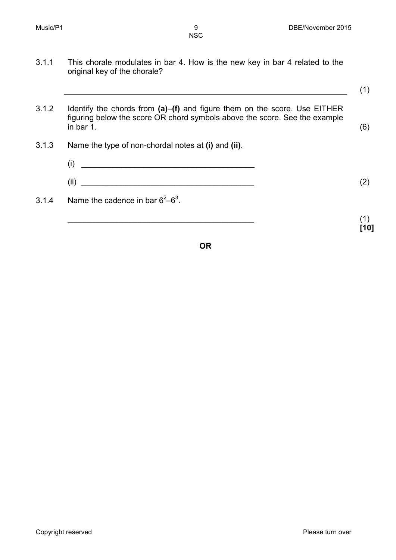3.1.1 This chorale modulates in bar 4. How is the new key in bar 4 related to the original key of the chorale?

(1)

**[10]**

3.1.2 Identify the chords from **(a)**–**(f)** and figure them on the score. Use EITHER figuring below the score OR chord symbols above the score. See the example in bar 1. in bar 1. $(6)$ 3.1.3 Name the type of non-chordal notes at **(i)** and **(ii)**. (i) \_\_\_\_\_\_\_\_\_\_\_\_\_\_\_\_\_\_\_\_\_\_\_\_\_\_\_\_\_\_\_\_\_\_\_\_\_\_\_ (ii)  $(2)$ 3.1.4 Name the cadence in bar  $6^2-6^3$ .  $\overline{\phantom{a}}$  (1)

**OR**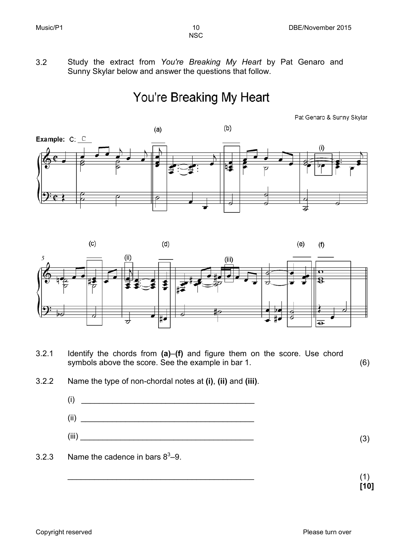3.2 Study the extract from *You're Breaking My Heart* by Pat Genaro and Sunny Skylar below and answer the questions that follow.

## You're Breaking My Heart

Pat Genaro & Sunny Skylar





3.2.1 Identify the chords from **(a)**–**(f)** and figure them on the score. Use chord symbols above the score. See the example in bar 1. (6)

- $(i)$  $(ii)$  $(iii)$  (iii) (3)
- 3.2.3 Name the cadence in bars  $8^3-9$ .

<sup>3.2.2</sup> Name the type of non-chordal notes at **(i)**, **(ii)** and **(iii)**.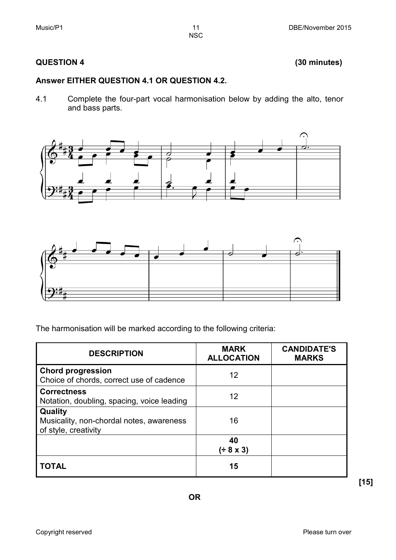### **QUESTION 4 (30 minutes)**

#### **Answer EITHER QUESTION 4.1 OR QUESTION 4.2.**

4.1 Complete the four-part vocal harmonisation below by adding the alto, tenor and bass parts.





The harmonisation will be marked according to the following criteria:

| <b>DESCRIPTION</b>                                                          | <b>MARK</b><br><b>ALLOCATION</b> | <b>CANDIDATE'S</b><br><b>MARKS</b> |
|-----------------------------------------------------------------------------|----------------------------------|------------------------------------|
| <b>Chord progression</b><br>Choice of chords, correct use of cadence        | 12                               |                                    |
| <b>Correctness</b><br>Notation, doubling, spacing, voice leading            | 12                               |                                    |
| Quality<br>Musicality, non-chordal notes, awareness<br>of style, creativity | 16                               |                                    |
|                                                                             | 40<br>(± 8 × 3)                  |                                    |
| <b>TOTAL</b>                                                                | 15                               |                                    |

**[15]**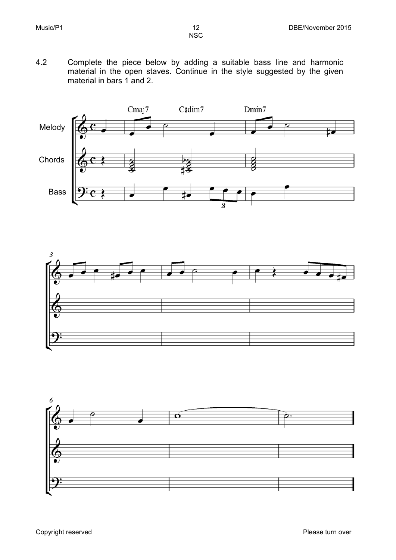4.2 Complete the piece below by adding a suitable bass line and harmonic material in the open staves. Continue in the style suggested by the given material in bars 1 and 2.





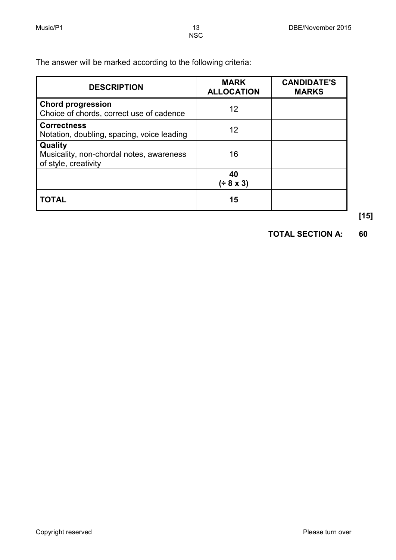The answer will be marked according to the following criteria:

| <b>DESCRIPTION</b>                                                          | <b>MARK</b><br><b>ALLOCATION</b> | <b>CANDIDATE'S</b><br><b>MARKS</b> |
|-----------------------------------------------------------------------------|----------------------------------|------------------------------------|
| <b>Chord progression</b><br>Choice of chords, correct use of cadence        | 12                               |                                    |
| <b>Correctness</b><br>Notation, doubling, spacing, voice leading            | 12                               |                                    |
| Quality<br>Musicality, non-chordal notes, awareness<br>of style, creativity | 16                               |                                    |
|                                                                             | 40<br>(± 8 × 3)                  |                                    |
| <b>TOTAL</b>                                                                | 15                               |                                    |

**[15]**

**TOTAL SECTION A: 60**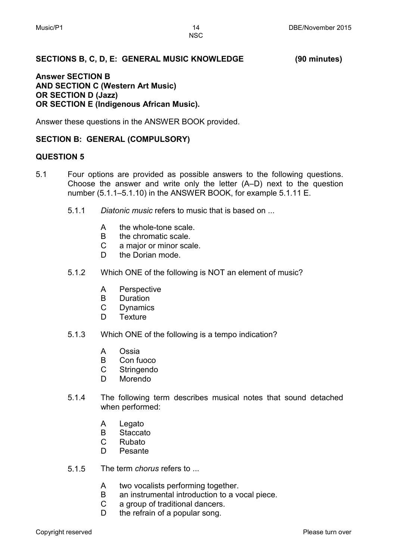#### **SECTIONS B, C, D, E: GENERAL MUSIC KNOWLEDGE (90 minutes)**

#### **Answer SECTION B AND SECTION C (Western Art Music) OR SECTION D (Jazz) OR SECTION E (Indigenous African Music).**

Answer these questions in the ANSWER BOOK provided.

#### **SECTION B: GENERAL (COMPULSORY)**

#### **QUESTION 5**

- 5.1 Four options are provided as possible answers to the following questions. Choose the answer and write only the letter (A–D) next to the question number (5.1.1–5.1.10) in the ANSWER BOOK, for example 5.1.11 E.
	- 5.1.1 *Diatonic music* refers to music that is based on ...
		- A the whole-tone scale.
		- B the chromatic scale.
		- $\mathbf{C}$ a major or minor scale.
		- D. the Dorian mode.
	- 5.1.2 Which ONE of the following is NOT an element of music?
		- A **Perspective**
		- B **Duration**
		- C Dynamics
		- D. **Texture**
	- 5.1.3 Which ONE of the following is a tempo indication?
		- A Ossia
		- B Con fuoco
		- $\mathsf{C}$ **Stringendo**
		- D. Morendo
	- 5.1.4 The following term describes musical notes that sound detached when performed:
		- A Legato
		- B **Staccato**
		- $\mathcal{C}$ Rubato
		- D. Pesante
	- 5.1.5 The term *chorus* refers to ...
		- A two vocalists performing together.
		- B an instrumental introduction to a vocal piece.
		- C a group of traditional dancers.
		- D. the refrain of a popular song.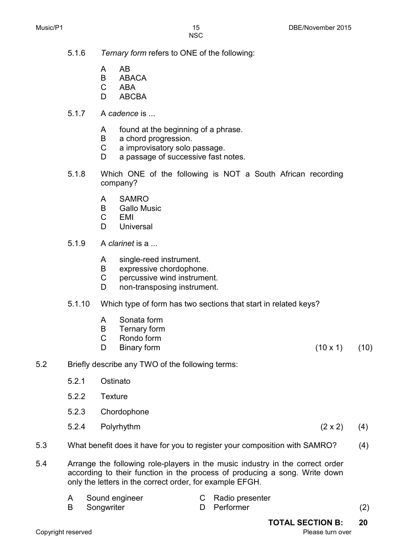- 
- 5.1.6 *Ternary form* refers to ONE of the following:
	- A AB
	- B **ABACA**
	- C ABA
	- D. ABCBA
- 5.1.7 A *cadence* is ...
	- A found at the beginning of a phrase.
	- B a chord progression.
	- $\mathcal{C}$ a improvisatory solo passage.
	- D. a passage of successive fast notes.
- 5.1.8 Which ONE of the following is NOT a South African recording company?
	- A SAMRO
	- B Gallo Music
	- C EMI
	- D<sub>1</sub> **Universal**
- 5.1.9 A *clarinet* is a ...
	- A single-reed instrument.
	- B expressive chordophone.
	- C percussive wind instrument.
	- D non-transposing instrument.
- 5.1.10 Which type of form has two sections that start in related keys?
	- A Sonata form
	- B Ternary form
	- $\mathbf{C}$ Rondo form
	- D.

Binary form  $(10 \times 1)$  (10)

- 5.2 Briefly describe any TWO of the following terms:
	- 5.2.1 Ostinato
	- 5.2.2 Texture
	- 5.2.3 Chordophone
	- 5.2.4 Polyrhythm ( $2 \times 2$ ) (4)
- 5.3 What benefit does it have for you to register your composition with SAMRO? (4)
- 5.4 Arrange the following role-players in the music industry in the correct order according to their function in the process of producing a song. Write down only the letters in the correct order, for example EFGH.

| A | Sound engineer      | C Radio presenter |     |
|---|---------------------|-------------------|-----|
|   | <b>B</b> Songwriter | D Performer       | (2) |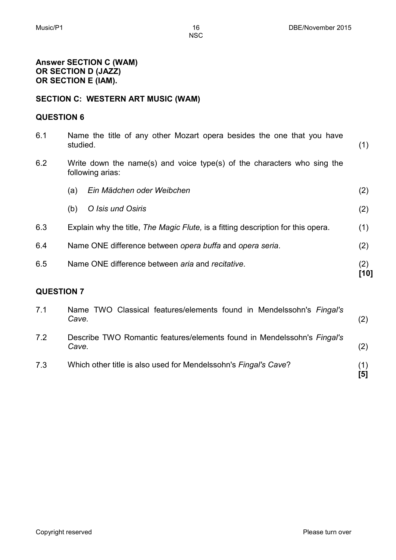**Answer SECTION C (WAM) OR SECTION D (JAZZ) OR SECTION E (IAM).**

#### **SECTION C: WESTERN ART MUSIC (WAM)**

#### **QUESTION 6**

| 6.1               | studied. | Name the title of any other Mozart opera besides the one that you have                      | (1)         |
|-------------------|----------|---------------------------------------------------------------------------------------------|-------------|
| 6.2               |          | Write down the name(s) and voice type(s) of the characters who sing the<br>following arias: |             |
|                   | (a)      | Ein Mädchen oder Weibchen                                                                   | (2)         |
|                   | (b)      | O Isis und Osiris                                                                           | (2)         |
| 6.3               |          | Explain why the title, The Magic Flute, is a fitting description for this opera.            | (1)         |
| 6.4               |          | Name ONE difference between opera buffa and opera seria.                                    | (2)         |
| 6.5               |          | Name ONE difference between aria and recitative.                                            | (2)<br>[10] |
| <b>QUESTION 7</b> |          |                                                                                             |             |
| 7.1               | Cave.    | Name TWO Classical features/elements found in Mendelssohn's Fingal's                        | (2)         |

- 7.2 Describe TWO Romantic features/elements found in Mendelssohn's *Fingal's Cave.* (2)
- 7.3 Which other title is also used for Mendelssohn's *Fingal's Cave*? (1) **[5]**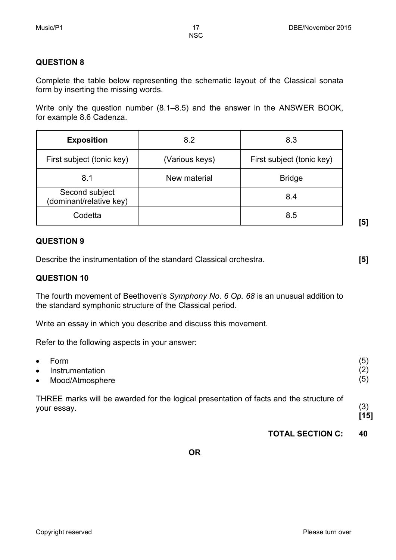**[5]**

NSC

#### **QUESTION 8**

Complete the table below representing the schematic layout of the Classical sonata form by inserting the missing words.

Write only the question number (8.1–8.5) and the answer in the ANSWER BOOK, for example 8.6 Cadenza.

| <b>Exposition</b>                         | 8.2            | 8.3                       |
|-------------------------------------------|----------------|---------------------------|
| First subject (tonic key)                 | (Various keys) | First subject (tonic key) |
| 8.1                                       | New material   | <b>Bridge</b>             |
| Second subject<br>(dominant/relative key) |                | 8.4                       |
| Codetta                                   |                | 8.5                       |

#### **QUESTION 9**

Describe the instrumentation of the standard Classical orchestra. **[5]**

#### **QUESTION 10**

The fourth movement of Beethoven's *Symphony No. 6 Op. 68* is an unusual addition to the standard symphonic structure of the Classical period.

Write an essay in which you describe and discuss this movement.

Refer to the following aspects in your answer:

| THREE marks will be awarded for the logical presentation of facts and the structure of | (3)  |
|----------------------------------------------------------------------------------------|------|
| your essay.                                                                            | [15] |
| Form                                                                                   | (5)  |
| Instrumentation                                                                        | (2)  |
| Mood/Atmosphere                                                                        | (5)  |
|                                                                                        |      |

**TOTAL SECTION C: 40**

**OR**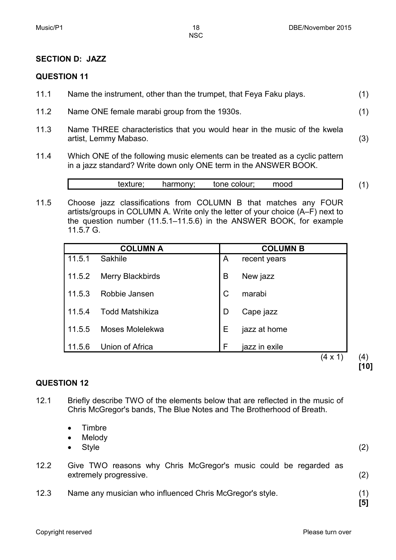#### **SECTION D: JAZZ**

#### **QUESTION 11**

| 11.1 | Name the instrument, other than the trumpet, that Feya Faku plays. |  |
|------|--------------------------------------------------------------------|--|
|------|--------------------------------------------------------------------|--|

- 11.2 Name ONE female marabi group from the 1930s. (1)
- 11.3 Name THREE characteristics that you would hear in the music of the kwela artist, Lemmy Mabaso. (3)
- 11.4 Which ONE of the following music elements can be treated as a cyclic pattern in a jazz standard? Write down only ONE term in the ANSWER BOOK.

texture; harmony; tone colour; mood (1)

11.5 Choose jazz classifications from COLUMN B that matches any FOUR artists/groups in COLUMN A. Write only the letter of your choice (A–F) next to the question number (11.5.1–11.5.6) in the ANSWER BOOK, for example 11.5.7 G.

|        | <b>COLUMN A</b>         |              | <b>COLUMN B</b> |
|--------|-------------------------|--------------|-----------------|
| 11.5.1 | Sakhile                 | A            | recent years    |
| 11.5.2 | <b>Merry Blackbirds</b> | B            | New jazz        |
| 11.5.3 | Robbie Jansen           | $\mathsf{C}$ | marabi          |
| 11.5.4 | <b>Todd Matshikiza</b>  | D            | Cape jazz       |
| 11.5.5 | Moses Molelekwa         | Е            | jazz at home    |
| 11.5.6 | Union of Africa         | F            | jazz in exile   |
|        |                         |              | (4 x 1          |

 $(4)$ **[10]**

#### **QUESTION 12**

- 12.1 Briefly describe TWO of the elements below that are reflected in the music of Chris McGregor's bands, The Blue Notes and The Brotherhood of Breath.
	- Timbre
	- Melody
	- Style  $(2)$
- 12.2 Give TWO reasons why Chris McGregor's music could be regarded as extremely progressive. (2)
- 12.3 Name any musician who influenced Chris McGregor's style. (1)

**[5]**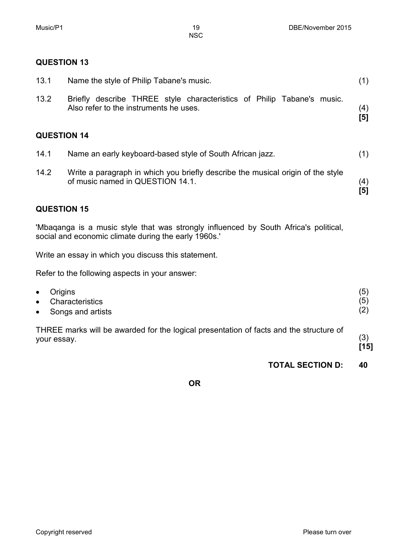#### **QUESTION 13**

| 13.1               | Name the style of Philip Tabane's music.                                                                                                    | (1)        |
|--------------------|---------------------------------------------------------------------------------------------------------------------------------------------|------------|
| 13.2               | Briefly describe THREE style characteristics of Philip Tabane's music.<br>Also refer to the instruments he uses.                            | (4)<br>[5] |
| <b>QUESTION 14</b> |                                                                                                                                             |            |
| 14.1               | Name an early keyboard-based style of South African jazz.                                                                                   | (1)        |
| 14.2               | Write a paragraph in which you briefly describe the musical origin of the style<br>of music named in QUESTION 14.1.                         | (4)<br>[5] |
| <b>QUESTION 15</b> |                                                                                                                                             |            |
|                    | 'Mbaganga is a music style that was strongly influenced by South Africa's political,<br>social and economic climate during the early 1960s. |            |

Write an essay in which you discuss this statement.

Refer to the following aspects in your answer:

| $\bullet$ | <b>Origins</b>                                                                                        | (5          |
|-----------|-------------------------------------------------------------------------------------------------------|-------------|
| $\bullet$ | <b>Characteristics</b>                                                                                | (5)         |
| $\bullet$ | Songs and artists                                                                                     | (2)         |
|           | THREE marks will be awarded for the logical presentation of facts and the structure of<br>your essay. | (3)<br>[15] |

### **TOTAL SECTION D: 40**

**OR**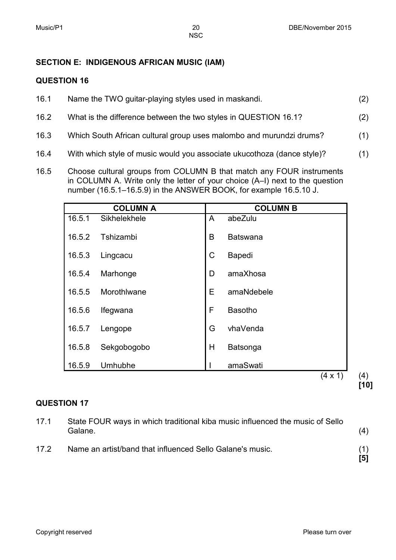#### **SECTION E: INDIGENOUS AFRICAN MUSIC (IAM)**

#### **QUESTION 16**

| 16.1 | Name the TWO guitar-playing styles used in maskandi.                | (2) |
|------|---------------------------------------------------------------------|-----|
| 16.2 | What is the difference between the two styles in QUESTION 16.1?     | (2) |
| 16.3 | Which South African cultural group uses malombo and murundzi drums? | (1) |

- 16.4 With which style of music would you associate ukucothoza (dance style)? (1)
- 16.5 Choose cultural groups from COLUMN B that match any FOUR instruments in COLUMN A. Write only the letter of your choice (A–I) next to the question number (16.5.1–16.5.9) in the ANSWER BOOK, for example 16.5.10 J.

|        | <b>COLUMN A</b> |   | <b>COLUMN B</b> |     |
|--------|-----------------|---|-----------------|-----|
| 16.5.1 | Sikhelekhele    | A | abeZulu         |     |
| 16.5.2 | Tshizambi       | B | <b>Batswana</b> |     |
| 16.5.3 | Lingcacu        | C | <b>Bapedi</b>   |     |
| 16.5.4 | Marhonge        | D | amaXhosa        |     |
| 16.5.5 | Morothlwane     | E | amaNdebele      |     |
| 16.5.6 | Ifegwana        | F | <b>Basotho</b>  |     |
| 16.5.7 | Lengope         | G | vhaVenda        |     |
| 16.5.8 | Sekgobogobo     | H | Batsonga        |     |
| 16.5.9 | Umhubhe         |   | amaSwati        |     |
|        |                 |   | $(4 \times 1)$  | (4) |

#### **QUESTION 17**

| 17.1 | State FOUR ways in which traditional kiba music influenced the music of Sello<br>Galane. | (4)        |
|------|------------------------------------------------------------------------------------------|------------|
| 17.2 | Name an artist/band that influenced Sello Galane's music.                                | $\sqrt{5}$ |

**[10]**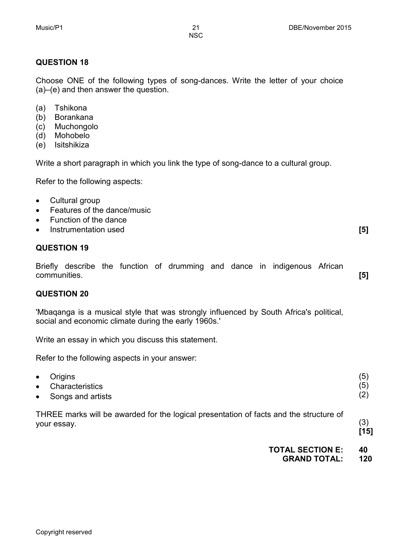### **QUESTION 18**

Choose ONE of the following types of song-dances. Write the letter of your choice (a)–(e) and then answer the question.

- (a) Tshikona
- (b) Borankana
- (c) Muchongolo
- (d) Mohobelo
- (e) Isitshikiza

Write a short paragraph in which you link the type of song-dance to a cultural group.

Refer to the following aspects:

- Cultural group
- Features of the dance/music
- Function of the dance
- **Instrumentation used [5]**

#### **QUESTION 19**

Briefly describe the function of drumming and dance in indigenous African communities. **[5]**

#### **QUESTION 20**

'Mbaqanga is a musical style that was strongly influenced by South Africa's political, social and economic climate during the early 1960s.'

Write an essay in which you discuss this statement.

Refer to the following aspects in your answer:

| $\bullet$ | Origins                                                                                               | (5)         |
|-----------|-------------------------------------------------------------------------------------------------------|-------------|
| $\bullet$ | Characteristics                                                                                       | (5)         |
| $\bullet$ | Songs and artists                                                                                     | (2)         |
|           | THREE marks will be awarded for the logical presentation of facts and the structure of<br>your essay. | (3)<br>[15] |

**TOTAL SECTION E: 40**

**GRAND TOTAL: 120**